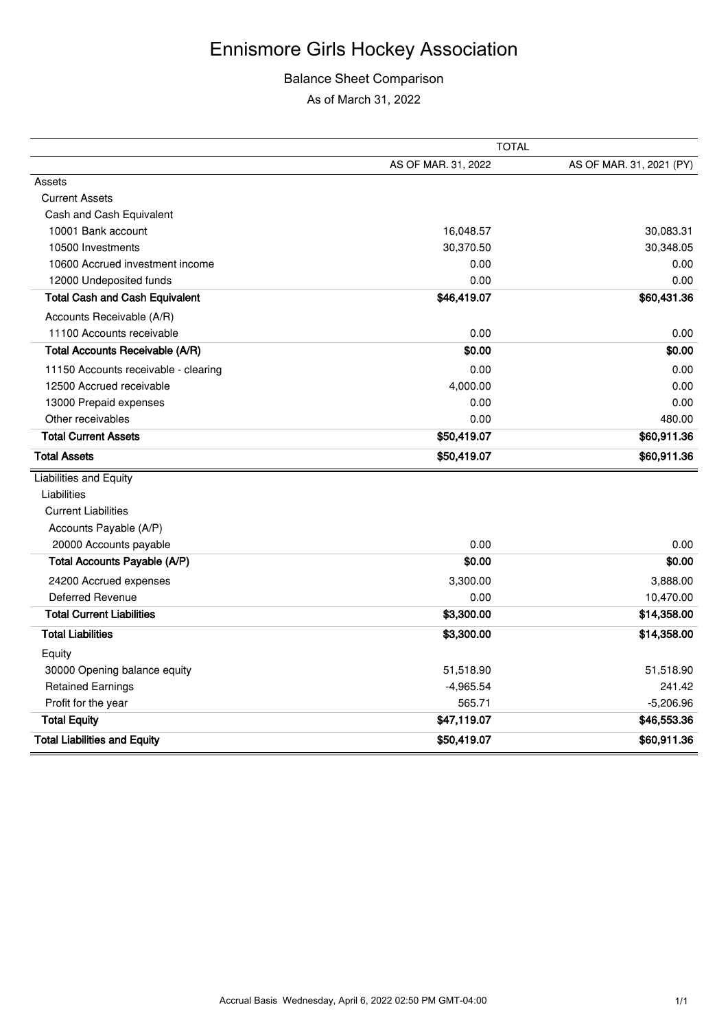## Ennismore Girls Hockey Association

## Balance Sheet Comparison

As of March 31, 2022

|                                        | <b>TOTAL</b>        |                          |
|----------------------------------------|---------------------|--------------------------|
|                                        | AS OF MAR. 31, 2022 | AS OF MAR. 31, 2021 (PY) |
| Assets                                 |                     |                          |
| <b>Current Assets</b>                  |                     |                          |
| Cash and Cash Equivalent               |                     |                          |
| 10001 Bank account                     | 16,048.57           | 30,083.31                |
| 10500 Investments                      | 30,370.50           | 30,348.05                |
| 10600 Accrued investment income        | 0.00                | 0.00                     |
| 12000 Undeposited funds                | 0.00                | 0.00                     |
| <b>Total Cash and Cash Equivalent</b>  | \$46,419.07         | \$60,431.36              |
| Accounts Receivable (A/R)              |                     |                          |
| 11100 Accounts receivable              | 0.00                | 0.00                     |
| <b>Total Accounts Receivable (A/R)</b> | \$0.00              | \$0.00                   |
| 11150 Accounts receivable - clearing   | 0.00                | 0.00                     |
| 12500 Accrued receivable               | 4,000.00            | 0.00                     |
| 13000 Prepaid expenses                 | 0.00                | 0.00                     |
| Other receivables                      | 0.00                | 480.00                   |
| <b>Total Current Assets</b>            | \$50,419.07         | \$60,911.36              |
| <b>Total Assets</b>                    | \$50,419.07         | \$60,911.36              |
| <b>Liabilities and Equity</b>          |                     |                          |
| Liabilities                            |                     |                          |
| <b>Current Liabilities</b>             |                     |                          |
| Accounts Payable (A/P)                 |                     |                          |
| 20000 Accounts payable                 | 0.00                | 0.00                     |
| <b>Total Accounts Payable (A/P)</b>    | \$0.00              | \$0.00                   |
| 24200 Accrued expenses                 | 3,300.00            | 3,888.00                 |
| Deferred Revenue                       | 0.00                | 10,470.00                |
| <b>Total Current Liabilities</b>       | \$3,300.00          | \$14,358.00              |
| <b>Total Liabilities</b>               | \$3,300.00          | \$14,358.00              |
| Equity                                 |                     |                          |
| 30000 Opening balance equity           | 51,518.90           | 51,518.90                |
| <b>Retained Earnings</b>               | $-4,965.54$         | 241.42                   |
| Profit for the year                    | 565.71              | $-5,206.96$              |
| <b>Total Equity</b>                    | \$47,119.07         | \$46,553.36              |
| <b>Total Liabilities and Equity</b>    | \$50,419.07         | \$60,911.36              |